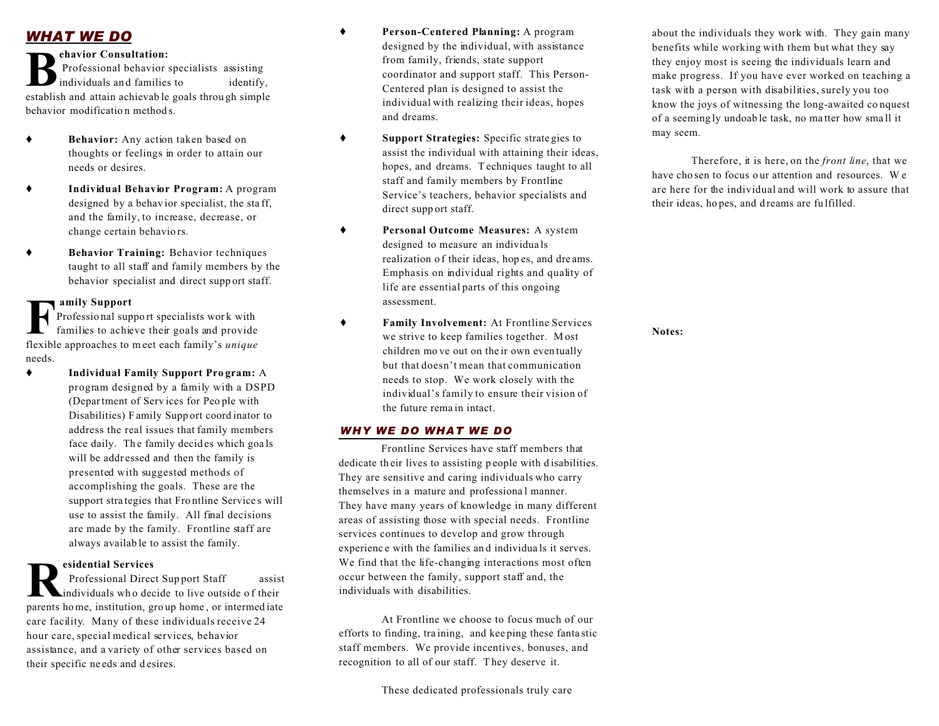# *WHAT WE DO*

#### **ehavior Consultation:**

**B**<br>
Professional behavior specialists assisting<br>
individuals and families to identify,<br>
establish and attain achievable goals through simple Professional behavior specialists assisting individuals and families to identify, behavior modification methods.

- **Behavior:** Any action taken based on thoughts or feelings in order to attain our needs or desires.
- **Individual Behavior Program:** A program designed by a behav ior specialist, the sta ff, and the family, to increase, decrease, or change certain behavio rs.
- **Behavior Training:** Behavior techniques taught to all staff and family members by the behavior specialist and direct supp ort staff.

## **amily Support**

**FR** Professional support<br>flexible approaches to meet each family's *unique*<br>flexible approaches to meet each family's *unique* Professio nal suppo rt specialists wor k with families to achieve their goals and provide needs.

 **Individual Family Support Pro gram:** A program designed by a family with a DSPD (Department of Serv ices for Peo ple with Disabilities) F amily Supp ort coord inator to address the real issues that family members face daily. The family decides which goals will be addressed and then the family is presented with suggested methods of accomplishing the goals. These are the support stra tegies that Frontline Services will use to assist the family. All final decisions are made by the family. Frontline staff are always availab le to assist the family.

## **esidential Services**

**R** parents home, institution, gro up home , or intermed iate Professional Direct Support Staff assist individuals wh o decide to live outside o f their care facility. Many of these individuals receive 24 hour care, special medical services, behavior assistance, and a variety of other services based on their specific ne eds and d esires.

- **Person-Centered Planning:** A program designed by the individual, with assistance from family, friends, state support coordinator and support staff. This Person-Centered plan is designed to assist the individual with realizing their ideas, hopes and dreams.
- **Support Strategies:** Specific strate gies to assist the individual with attaining their ideas, hopes, and dreams. Techniques taught to all staff and family members by Frontline Service's teachers, behavior specialists and direct supp ort staff.
- **Personal Outcome Measures:** A system designed to measure an individua ls realization of their ideas, hopes, and dreams. Emphasis on individual rights and quality of life are essential parts of this ongoing assessment.
- **Family Involvement:** At Frontline Services we strive to keep families together. M ost children mo ve out on the ir own even tually but that doesn't mean that communication needs to stop. We work closely with the individual's family to ensure their vision of the future rema in intact.

#### *WHY WE DO WHAT WE DO*

Frontline Services have staff members that dedicate their lives to assisting p eople with disabilities. They are sensitive and caring individuals who carry themselves in a mature and professiona l manner. They have many years of knowledge in many different areas of assisting those with special needs. Frontline services continues to develop and grow through experienc e with the families an d individua ls it serves. We find that the life-changing interactions most often occur between the family, support staff and, the individuals with disabilities.

At Frontline we choose to focus much of our efforts to finding, tra ining, and kee ping these fanta stic staff members. We provide incentives, bonuses, and recognition to all of our staff. T hey deserve it.

about the individuals they work with. They gain many benefits while working with them but what they say they enjoy most is seeing the individuals learn and make progress. If you have ever worked on teaching a task with a person with disabilities, surely you too know the joys of witnessing the long-awaited co nquest of a seeming ly undoab le task, no ma tter how sma ll it may seem.

 Therefore, it is here, on the *front line*, that we have cho sen to focus our attention and resources. We are here for the individual and will work to assure that their ideas, ho pes, and d reams are fu lfilled.

**Notes:**